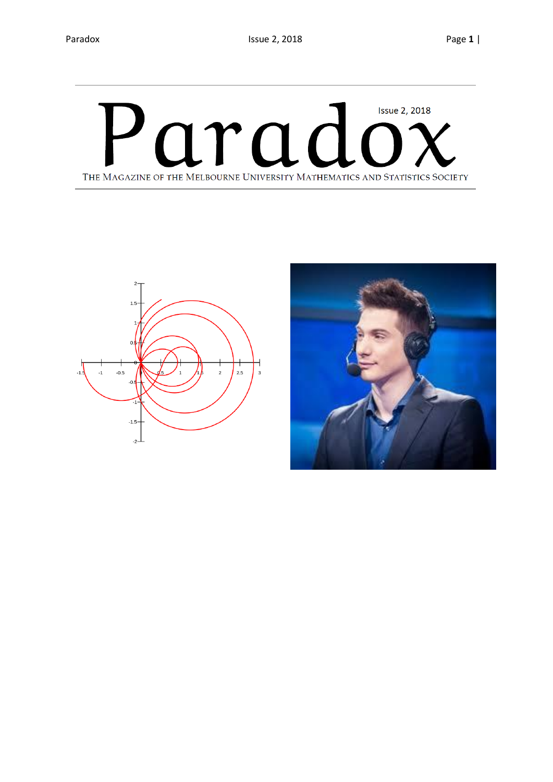# arad **Issue 2, 2018** THE MAGAZINE OF THE MELBOURNE UNIVERSITY MATHEMATICS AND STATISTICS SOCIETY



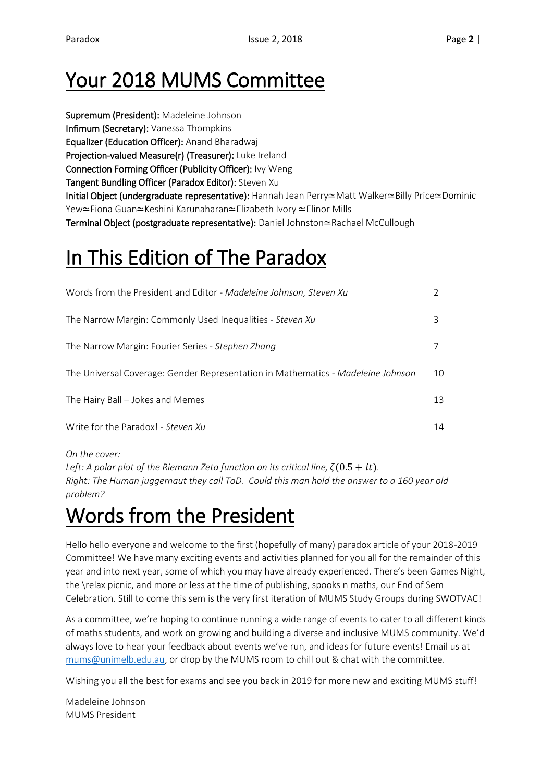## Your 2018 MUMS Committee

Supremum (President): Madeleine Johnson Infimum (Secretary): Vanessa Thompkins Equalizer (Education Officer): Anand Bharadwaj Projection-valued Measure(r) (Treasurer): Luke Ireland Connection Forming Officer (Publicity Officer): Ivy Weng Tangent Bundling Officer (Paradox Editor): Steven Xu Initial Object (undergraduate representative): Hannah Jean Perry≃Matt Walker≃Billy Price≃Dominic Yew≃Fiona Guan≃Keshini Karunaharan≃Elizabeth Ivory ≃Elinor Mills Terminal Object (postgraduate representative): Daniel Johnston≃Rachael McCullough

# In This Edition of The Paradox

| Words from the President and Editor - Madeleine Johnson, Steven Xu               |    |
|----------------------------------------------------------------------------------|----|
| The Narrow Margin: Commonly Used Inequalities - Steven Xu                        | 3  |
| The Narrow Margin: Fourier Series - Stephen Zhang                                |    |
| The Universal Coverage: Gender Representation in Mathematics - Madeleine Johnson | 10 |
| The Hairy Ball – Jokes and Memes                                                 | 13 |
| Write for the Paradox! - Steven Xu                                               | 14 |

*On the cover:*

*Left:* A polar plot of the Riemann Zeta function on its critical line,  $\zeta(0.5 + it)$ . *Right: The Human juggernaut they call ToD. Could this man hold the answer to a 160 year old problem?* 

## Words from the President

Hello hello everyone and welcome to the first (hopefully of many) paradox article of your 2018-2019 Committee! We have many exciting events and activities planned for you all for the remainder of this year and into next year, some of which you may have already experienced. There's been Games Night, the \relax picnic, and more or less at the time of publishing, spooks n maths, our End of Sem Celebration. Still to come this sem is the very first iteration of MUMS Study Groups during SWOTVAC!

As a committee, we're hoping to continue running a wide range of events to cater to all different kinds of maths students, and work on growing and building a diverse and inclusive MUMS community. We'd always love to hear your feedback about events we've run, and ideas for future events! Email us at [mums@unimelb.edu.au,](mailto:mums@unimelb.edu.au) or drop by the MUMS room to chill out & chat with the committee.

Wishing you all the best for exams and see you back in 2019 for more new and exciting MUMS stuff!

Madeleine Johnson MUMS President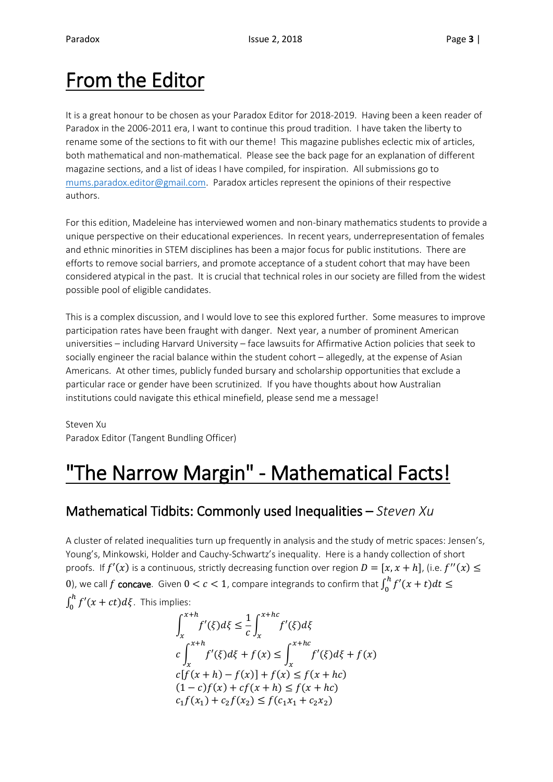## From the Editor

It is a great honour to be chosen as your Paradox Editor for 2018-2019. Having been a keen reader of Paradox in the 2006-2011 era, I want to continue this proud tradition. I have taken the liberty to rename some of the sections to fit with our theme! This magazine publishes eclectic mix of articles, both mathematical and non-mathematical. Please see the back page for an explanation of different magazine sections, and a list of ideas I have compiled, for inspiration. All submissions go to [mums.paradox.editor@gmail.com.](mailto:mums.paradox.editor@gmail.com) Paradox articles represent the opinions of their respective authors.

For this edition, Madeleine has interviewed women and non-binary mathematics students to provide a unique perspective on their educational experiences. In recent years, underrepresentation of females and ethnic minorities in STEM disciplines has been a major focus for public institutions. There are efforts to remove social barriers, and promote acceptance of a student cohort that may have been considered atypical in the past. It is crucial that technical roles in our society are filled from the widest possible pool of eligible candidates.

This is a complex discussion, and I would love to see this explored further. Some measures to improve participation rates have been fraught with danger. Next year, a number of prominent American universities – including Harvard University – face lawsuits for Affirmative Action policies that seek to socially engineer the racial balance within the student cohort – allegedly, at the expense of Asian Americans. At other times, publicly funded bursary and scholarship opportunities that exclude a particular race or gender have been scrutinized. If you have thoughts about how Australian institutions could navigate this ethical minefield, please send me a message!

Steven Xu Paradox Editor (Tangent Bundling Officer)

## "The Narrow Margin" - Mathematical Facts!

### Mathematical Tidbits: Commonly used Inequalities – *Steven Xu*

A cluster of related inequalities turn up frequently in analysis and the study of metric spaces: Jensen's, Young's, Minkowski, Holder and Cauchy-Schwartz's inequality. Here is a handy collection of short proofs. If  $f'(x)$  is a continuous, strictly decreasing function over region  $D = [x, x + h]$ , (i.e.  $f''(x) \le$ 0), we call  $f$  concave. Given  $0 < c < 1$ , compare integrands to confirm that  $\int_0^h f'(x+t) dt \leq$  $\int_0^h f'(x+ct)d\xi$ . This implies:

$$
\int_{x}^{x+h} f'(\xi) d\xi \leq \frac{1}{c} \int_{x}^{x+hc} f'(\xi) d\xi
$$
  

$$
c \int_{x}^{x+h} f'(\xi) d\xi + f(x) \leq \int_{x}^{x+hc} f'(\xi) d\xi + f(x)
$$
  

$$
c[f(x+h) - f(x)] + f(x) \leq f(x+hc)
$$
  

$$
(1-c)f(x) + cf(x+h) \leq f(x+hc)
$$
  

$$
c_1 f(x_1) + c_2 f(x_2) \leq f(c_1 x_1 + c_2 x_2)
$$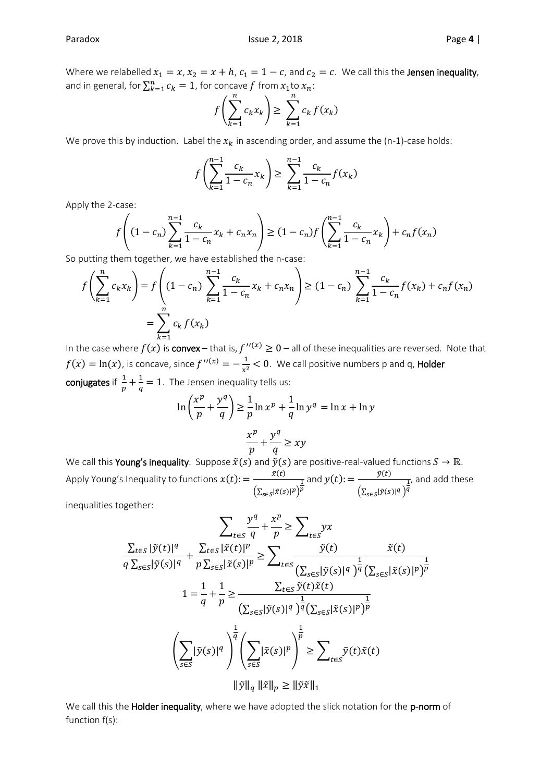Where we relabelled  $x_1 = x$ ,  $x_2 = x + h$ ,  $c_1 = 1 - c$ , and  $c_2 = c$ . We call this the **Jensen inequality**, and in general, for  $\sum_{k=1}^{n} c_k = 1$ , for concave f from  $x_1$ to  $x_n$ :

$$
f\left(\sum_{k=1}^n c_k x_k\right) \ge \sum_{k=1}^n c_k f(x_k)
$$

We prove this by induction. Label the  $x_k$  in ascending order, and assume the (n-1)-case holds:

$$
f\left(\sum_{k=1}^{n-1} \frac{c_k}{1 - c_n} x_k\right) \ge \sum_{k=1}^{n-1} \frac{c_k}{1 - c_n} f(x_k)
$$

Apply the 2-case:

$$
f\left((1-c_n)\sum_{k=1}^{n-1}\frac{c_k}{1-c_n}x_k+c_nx_n\right) \ge (1-c_n)f\left(\sum_{k=1}^{n-1}\frac{c_k}{1-c_n}x_k\right)+c_nf(x_n)
$$

So putting them together, we have established the n-case:

$$
f\left(\sum_{k=1}^{n} c_k x_k\right) = f\left((1 - c_n) \sum_{k=1}^{n-1} \frac{c_k}{1 - c_n} x_k + c_n x_n\right) \ge (1 - c_n) \sum_{k=1}^{n-1} \frac{c_k}{1 - c_n} f(x_k) + c_n f(x_n)
$$

$$
= \sum_{k=1}^{n} c_k f(x_k)
$$

In the case where  $f(x)$  is convex – that is,  $f''^{(x)} \geq 0$  – all of these inequalities are reversed. Note that  $f(x) = \ln(x)$ , is concave, since  $f''^{(x)} = -\frac{1}{x}$  $\frac{1}{x^2}$  < 0. We call positive numbers p and q, **Holder** conjugates if  $\frac{1}{n}$  $\frac{1}{p} + \frac{1}{q}$  $\frac{1}{q}$  = 1. The Jensen inequality tells us:

$$
\ln\left(\frac{x^p}{p} + \frac{y^q}{q}\right) \ge \frac{1}{p} \ln x^p + \frac{1}{q} \ln y^q = \ln x + \ln y
$$

$$
\frac{x^p}{p} + \frac{y^q}{q} \ge xy
$$

We call this Young's inequality. Suppose  $\tilde{x}(s)$  and  $\tilde{y}(s)$  are positive-real-valued functions  $S \to \mathbb{R}$ . Apply Young's Inequality to functions  $x(t)\mathpunct{:}=\frac{\tilde{x}(t)}{x(t)}$  $\left(\sum_{s\in S}|\tilde{x}(s)|^p\right)$  $\frac{1}{\overline{p}}$  and  $y(t)$ :  $=$   $\frac{\tilde{y}(t)}{\sqrt{\sum_{i=1}^{n} y_i(t)}}$  $\left( \sum_{s\in S} |\tilde{y}(s)|^q \right)$  $\frac{1}{\overline{q}}$ , and add these

inequalities together:

$$
\sum_{t \in S} \frac{y^q}{q} + \frac{x^p}{p} \ge \sum_{t \in S} yx
$$
\n
$$
\frac{\sum_{t \in S} |\tilde{y}(t)|^q}{q \sum_{s \in S} |\tilde{y}(s)|^q} + \frac{\sum_{t \in S} |\tilde{x}(t)|^p}{p \sum_{s \in S} |\tilde{x}(s)|^p} \ge \sum_{t \in S} \frac{\tilde{y}(t)}{(\sum_{s \in S} |\tilde{y}(s)|^q)^{\frac{1}{q}} (\sum_{s \in S} |\tilde{x}(s)|^p)^{\frac{1}{p}}}
$$
\n
$$
1 = \frac{1}{q} + \frac{1}{p} \ge \frac{\sum_{t \in S} \tilde{y}(t)\tilde{x}(t)}{(\sum_{s \in S} |\tilde{y}(s)|^q)^{\frac{1}{q}} (\sum_{s \in S} |\tilde{x}(s)|^p)^{\frac{1}{p}}}
$$
\n
$$
\left(\sum_{s \in S} |\tilde{y}(s)|^q\right)^{\frac{1}{q}} \left(\sum_{s \in S} |\tilde{x}(s)|^p\right)^{\frac{1}{p}} \ge \sum_{t \in S} \tilde{y}(t)\tilde{x}(t)
$$
\n
$$
\|\tilde{y}\|_q \|\tilde{x}\|_p \ge \|\tilde{y}\tilde{x}\|_1
$$

We call this the Holder inequality, where we have adopted the slick notation for the p-norm of function f(s):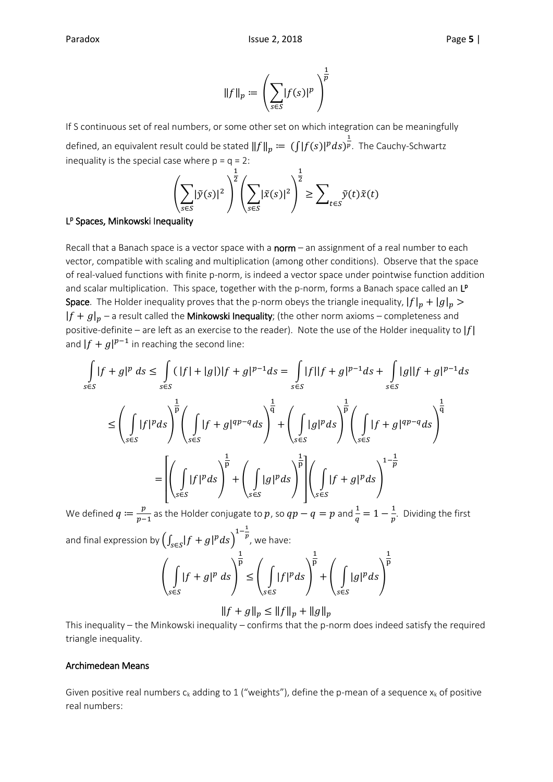$$
\|f\|_p \coloneqq \left(\sum_{s\in S} |f(s)|^p\right)^{\frac{1}{p}}
$$

If S continuous set of real numbers, or some other set on which integration can be meaningfully defined, an equivalent result could be stated  $\|f\|_p\coloneqq\,(\int\hskip-12pt|f(s)|^p ds)^{\frac{1}{p}}$ . The Cauchy-Schwartz inequality is the special case where  $p = q = 2$ :

$$
\left(\sum_{s\in S} |\tilde{y}(s)|^2\right)^{\frac{1}{2}} \left(\sum_{s\in S} |\tilde{x}(s)|^2\right)^{\frac{1}{2}} \ge \sum_{t\in S} \tilde{y}(t)\tilde{x}(t)
$$

#### L<sup>p</sup> Spaces, Minkowski Inequality

Recall that a Banach space is a vector space with a  $norm -$  an assignment of a real number to each vector, compatible with scaling and multiplication (among other conditions). Observe that the space of real-valued functions with finite p-norm, is indeed a vector space under pointwise function addition and scalar multiplication. This space, together with the p-norm, forms a Banach space called an LP **Space**. The Holder inequality proves that the p-norm obeys the triangle inequality,  $|f|_p + |g|_p >$  $|f + g|_p$  – a result called the **Minkowski Inequality**; (the other norm axioms – completeness and positive-definite – are left as an exercise to the reader). Note the use of the Holder inequality to  $|f|$ and  $|f + g|^{p-1}$  in reaching the second line:

$$
\int_{s\in S} |f+g|^p ds \le \int_{s\in S} (|f|+|g|)|f+g|^{p-1} ds = \int_{s\in S} |f||f+g|^{p-1} ds + \int_{s\in S} |g||f+g|^{p-1} ds
$$
  

$$
\le \left(\int_{s\in S} |f|^p ds\right)^{\frac{1}{p}} \left(\int_{s\in S} |f+g|^{qp-q} ds\right)^{\frac{1}{q}} + \left(\int_{s\in S} |g|^p ds\right)^{\frac{1}{p}} \left(\int_{s\in S} |f+g|^{qp-q} ds\right)^{\frac{1}{q}}
$$
  

$$
= \left[\left(\int_{s\in S} |f|^p ds\right)^{\frac{1}{p}} + \left(\int_{s\in S} |g|^p ds\right)^{\frac{1}{p}} \right] \left(\int_{s\in S} |f+g|^p ds\right)^{1-\frac{1}{p}}
$$

We defined  $q \coloneqq \frac{p}{r}$  $\frac{p}{p-1}$  as the Holder conjugate to  $p$ , so  $qp-q=p$  and  $\frac{1}{q}=1-\frac{1}{p}$  $\frac{1}{p}$ . Dividing the first and final expression by  $\left(\int_{s\in S} \lvert f+g\rvert^p ds\right)^{1-\frac{1}{p}}$  $^p$ , we have:

$$
\left(\int_{s\in S} |f+g|^p ds\right)^{\frac{1}{p}} \le \left(\int_{s\in S} |f|^p ds\right)^{\frac{1}{p}} + \left(\int_{s\in S} |g|^p ds\right)^{\frac{1}{p}}
$$

$$
||f + g||_p \le ||f||_p + ||g||_p
$$

This inequality – the Minkowski inequality – confirms that the p-norm does indeed satisfy the required triangle inequality.

#### Archimedean Means

Given positive real numbers  $c_k$  adding to 1 ("weights"), define the p-mean of a sequence  $x_k$  of positive real numbers: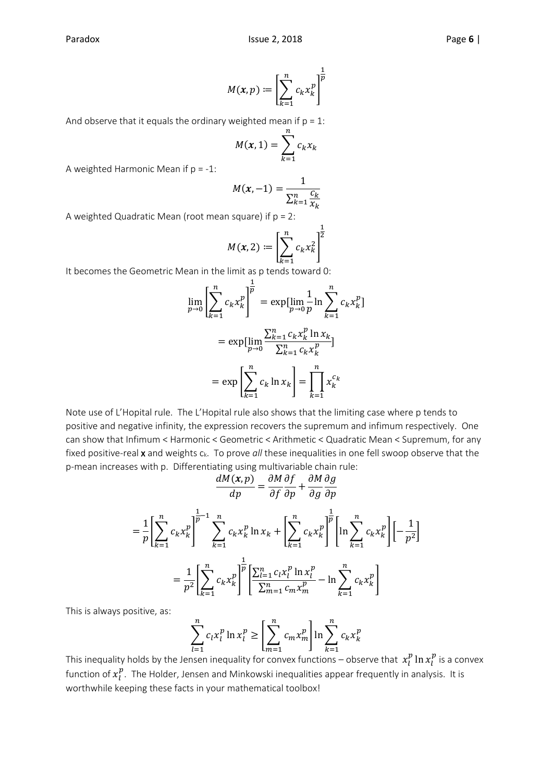$$
M(x,p) := \left[\sum_{k=1}^n c_k x_k^p\right]^{\frac{1}{p}}
$$

And observe that it equals the ordinary weighted mean if  $p = 1$ :

$$
M(x, 1) = \sum_{k=1}^{n} c_k x_k
$$

A weighted Harmonic Mean if  $p = -1$ :

$$
M(x,-1) = \frac{1}{\sum_{k=1}^{n} \frac{c_k}{x_k}}
$$

A weighted Quadratic Mean (root mean square) if  $p = 2$ :

$$
M(x, 2) := \left[\sum_{k=1}^{n} c_k x_k^2\right]^{\frac{1}{2}}
$$

It becomes the Geometric Mean in the limit as p tends toward 0:

$$
\lim_{p \to 0} \left[ \sum_{k=1}^{n} c_k x_k^p \right]^{\frac{1}{p}} = \exp\left[ \lim_{p \to 0} \frac{1}{p} \ln \sum_{k=1}^{n} c_k x_k^p \right]
$$

$$
= \exp\left[ \lim_{p \to 0} \frac{\sum_{k=1}^{n} c_k x_k^p \ln x_k}{\sum_{k=1}^{n} c_k x_k^p} \right]
$$

$$
= \exp\left[ \sum_{k=1}^{n} c_k \ln x_k \right] = \prod_{k=1}^{n} x_k^{c_k}
$$

Note use of L'Hopital rule. The L'Hopital rule also shows that the limiting case where p tends to positive and negative infinity, the expression recovers the supremum and infimum respectively. One can show that Infimum < Harmonic < Geometric < Arithmetic < Quadratic Mean < Supremum, for any fixed positive-real x and weights c<sub>k</sub>. To prove all these inequalities in one fell swoop observe that the p-mean increases with p. Differentiating using multivariable chain rule:

$$
\frac{dM(x,p)}{dp} = \frac{\partial M}{\partial f} \frac{\partial f}{\partial p} + \frac{\partial M}{\partial g} \frac{\partial g}{\partial p}
$$

$$
= \frac{1}{p} \left[ \sum_{k=1}^{n} c_k x_k^p \right]_0^{\frac{1}{p}-1} \sum_{k=1}^{n} c_k x_k^p \ln x_k + \left[ \sum_{k=1}^{n} c_k x_k^p \right]_0^{\frac{1}{p}} \left[ \ln \sum_{k=1}^{n} c_k x_k^p \right] \left[ -\frac{1}{p^2} \right]
$$

$$
= \frac{1}{p^2} \left[ \sum_{k=1}^{n} c_k x_k^p \right]_0^{\frac{1}{p}} \left[ \frac{\sum_{l=1}^{n} c_l x_l^p \ln x_l^p}{\sum_{m=1}^{n} c_m x_m^p} - \ln \sum_{k=1}^{n} c_k x_k^p \right]
$$

This is always positive, as:

$$
\sum_{l=1}^{n} c_l x_l^p \ln x_l^p \ge \left[ \sum_{m=1}^{n} c_m x_m^p \right] \ln \sum_{k=1}^{n} c_k x_k^p
$$

This inequality holds by the Jensen inequality for convex functions — observe that  $\,x^p_l\ln x^p_l$  is a convex function of  $x_l^p$  . The Holder, Jensen and Minkowski inequalities appear frequently in analysis. It is worthwhile keeping these facts in your mathematical toolbox!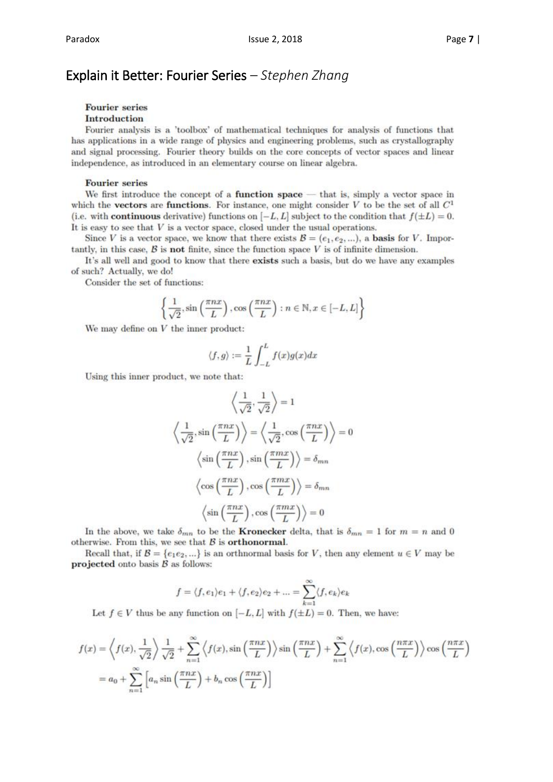### Explain it Better: Fourier Series *– Stephen Zhang*

#### **Fourier** series

#### Introduction

Fourier analysis is a 'toolbox' of mathematical techniques for analysis of functions that has applications in a wide range of physics and engineering problems, such as crystallography and signal processing. Fourier theory builds on the core concepts of vector spaces and linear independence, as introduced in an elementary course on linear algebra.

#### **Fourier series**

We first introduce the concept of a **function space**  $-$  that is, simply a vector space in which the **vectors** are **functions**. For instance, one might consider V to be the set of all  $C^1$ (i.e. with **continuous** derivative) functions on  $[-L, L]$  subject to the condition that  $f(\pm L) = 0$ . It is easy to see that  $V$  is a vector space, closed under the usual operations.

Since V is a vector space, we know that there exists  $\mathcal{B} = (e_1, e_2, ...)$ , a **basis** for V. Importantly, in this case,  $\beta$  is not finite, since the function space V is of infinite dimension.

It's all well and good to know that there exists such a basis, but do we have any examples of such? Actually, we do!

Consider the set of functions:

$$
\left\{\frac{1}{\sqrt{2}}, \sin\left(\frac{\pi nx}{L}\right), \cos\left(\frac{\pi nx}{L}\right) : n \in \mathbb{N}, x \in [-L, L]\right\}
$$

We may define on  $V$  the inner product:

$$
\langle f,g\rangle:=\frac{1}{L}\int_{-L}^{L}f(x)g(x)dx
$$

Using this inner product, we note that:

$$
\left\langle \frac{1}{\sqrt{2}}, \frac{1}{\sqrt{2}} \right\rangle = 1
$$

$$
\left\langle \frac{1}{\sqrt{2}}, \sin\left(\frac{\pi nx}{L}\right) \right\rangle = \left\langle \frac{1}{\sqrt{2}}, \cos\left(\frac{\pi nx}{L}\right) \right\rangle = 0
$$

$$
\left\langle \sin\left(\frac{\pi nx}{L}\right), \sin\left(\frac{\pi mx}{L}\right) \right\rangle = \delta_{mn}
$$

$$
\left\langle \cos\left(\frac{\pi nx}{L}\right), \cos\left(\frac{\pi mx}{L}\right) \right\rangle = \delta_{mn}
$$

$$
\left\langle \sin\left(\frac{\pi nx}{L}\right), \cos\left(\frac{\pi mx}{L}\right) \right\rangle = 0
$$

In the above, we take  $\delta_{mn}$  to be the **Kronecker** delta, that is  $\delta_{mn} = 1$  for  $m = n$  and 0 otherwise. From this, we see that  $B$  is orthonormal.

Recall that, if  $\mathcal{B} = \{e_1e_2,...\}$  is an orthnormal basis for V, then any element  $u \in V$  may be projected onto basis  $B$  as follows:

$$
f = \langle f, e_1 \rangle e_1 + \langle f, e_2 \rangle e_2 + \dots = \sum_{k=1}^{\infty} \langle f, e_k \rangle e_k
$$

Let  $f \in V$  thus be any function on  $[-L, L]$  with  $f(\pm L) = 0$ . Then, we have:

$$
f(x) = \left\langle f(x), \frac{1}{\sqrt{2}} \right\rangle \frac{1}{\sqrt{2}} + \sum_{n=1}^{\infty} \left\langle f(x), \sin\left(\frac{\pi nx}{L}\right) \right\rangle \sin\left(\frac{\pi nx}{L}\right) + \sum_{n=1}^{\infty} \left\langle f(x), \cos\left(\frac{n\pi x}{L}\right) \right\rangle \cos\left(\frac{n\pi x}{L}\right)
$$

$$
= a_0 + \sum_{n=1}^{\infty} \left[ a_n \sin\left(\frac{\pi nx}{L}\right) + b_n \cos\left(\frac{\pi nx}{L}\right) \right]
$$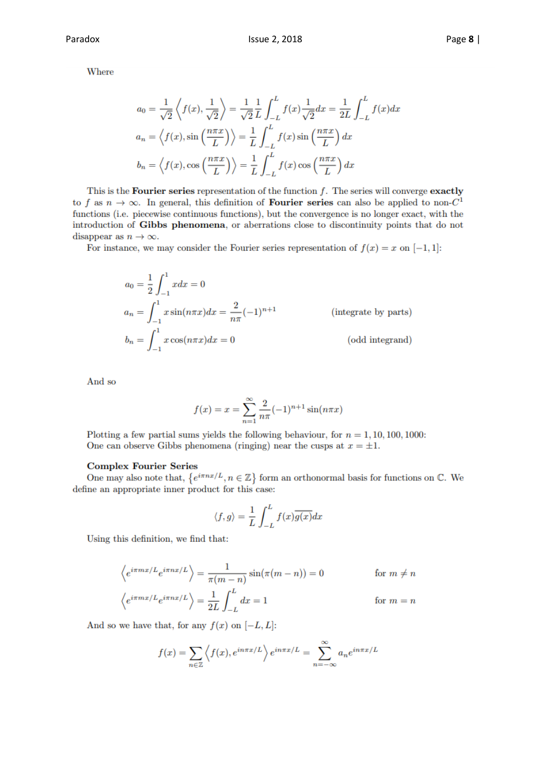Where

$$
a_0 = \frac{1}{\sqrt{2}} \left\langle f(x), \frac{1}{\sqrt{2}} \right\rangle = \frac{1}{\sqrt{2}} \frac{1}{L} \int_{-L}^{L} f(x) \frac{1}{\sqrt{2}} dx = \frac{1}{2L} \int_{-L}^{L} f(x) dx
$$
  

$$
a_n = \left\langle f(x), \sin\left(\frac{n\pi x}{L}\right) \right\rangle = \frac{1}{L} \int_{-L}^{L} f(x) \sin\left(\frac{n\pi x}{L}\right) dx
$$
  

$$
b_n = \left\langle f(x), \cos\left(\frac{n\pi x}{L}\right) \right\rangle = \frac{1}{L} \int_{-L}^{L} f(x) \cos\left(\frac{n\pi x}{L}\right) dx
$$

This is the **Fourier series** representation of the function  $f$ . The series will converge **exactly** to f as  $n \to \infty$ . In general, this definition of **Fourier series** can also be applied to non- $C^1$ functions (i.e. piecewise continuous functions), but the convergence is no longer exact, with the introduction of Gibbs phenomena, or aberrations close to discontinuity points that do not disappear as  $n \to \infty$ .

For instance, we may consider the Fourier series representation of  $f(x) = x$  on  $[-1, 1]$ :

$$
a_0 = \frac{1}{2} \int_{-1}^1 x dx = 0
$$
  
\n
$$
a_n = \int_{-1}^1 x \sin(n\pi x) dx = \frac{2}{n\pi} (-1)^{n+1}
$$
 (integrate by parts)  
\n
$$
b_n = \int_{-1}^1 x \cos(n\pi x) dx = 0
$$
 (odd integrand)

And so

$$
f(x) = x = \sum_{n=1}^{\infty} \frac{2}{n\pi} (-1)^{n+1} \sin(n\pi x)
$$

Plotting a few partial sums yields the following behaviour, for  $n = 1, 10, 100, 1000$ : One can observe Gibbs phenomena (ringing) near the cusps at  $x = \pm 1$ .

#### **Complex Fourier Series**

One may also note that,  $\{e^{i\pi nx/L}, n \in \mathbb{Z}\}\$ form an orthonormal basis for functions on  $\mathbb{C}$ . We define an appropriate inner product for this case:

$$
\langle f, g \rangle = \frac{1}{L} \int_{-L}^{L} f(x) \overline{g(x)} dx
$$

Using this definition, we find that:

$$
\left\langle e^{i\pi mx/L} e^{i\pi nx/L} \right\rangle = \frac{1}{\pi(m-n)} \sin(\pi(m-n)) = 0 \quad \text{for } m \neq n
$$
  

$$
\left\langle e^{i\pi mx/L} e^{i\pi nx/L} \right\rangle = \frac{1}{2L} \int_{-L}^{L} dx = 1 \quad \text{for } m = n
$$

And so we have that, for any  $f(x)$  on  $[-L, L]$ :

$$
f(x) = \sum_{n \in \mathbb{Z}} \left\langle f(x), e^{in\pi x/L} \right\rangle e^{in\pi x/L} = \sum_{n = -\infty}^{\infty} a_n e^{in\pi x/L}
$$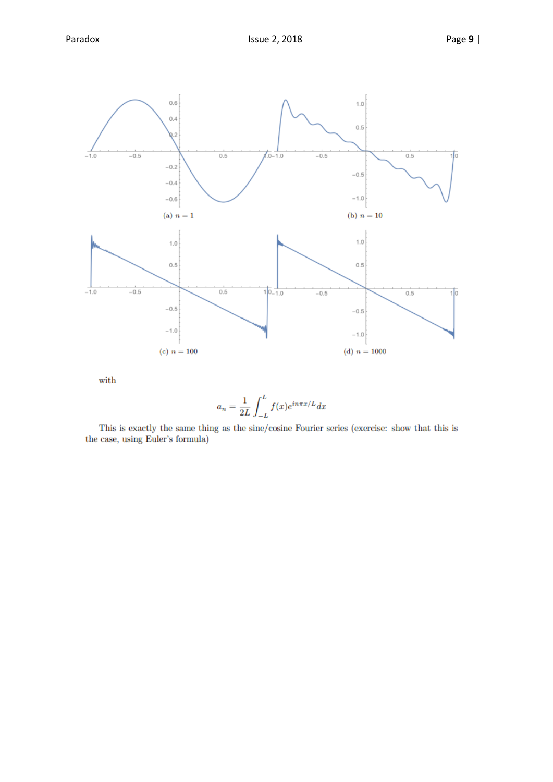

with

$$
a_n = \frac{1}{2L} \int_{-L}^{L} f(x)e^{in\pi x/L} dx
$$

This is exactly the same thing as the sine/cosine Fourier series (exercise: show that this is the case, using Euler's formula)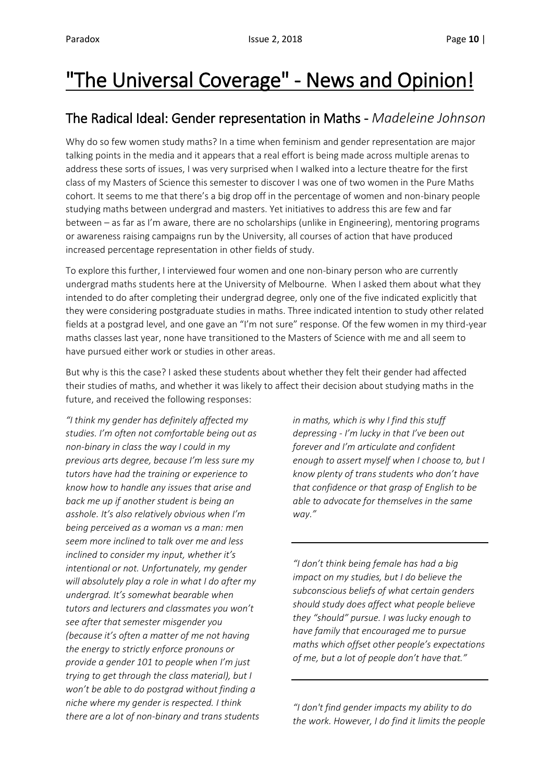# "The Universal Coverage" - News and Opinion!

### The Radical Ideal: Gender representation in Maths - *Madeleine Johnson*

Why do so few women study maths? In a time when feminism and gender representation are major talking points in the media and it appears that a real effort is being made across multiple arenas to address these sorts of issues, I was very surprised when I walked into a lecture theatre for the first class of my Masters of Science this semester to discover I was one of two women in the Pure Maths cohort. It seems to me that there's a big drop off in the percentage of women and non-binary people studying maths between undergrad and masters. Yet initiatives to address this are few and far between – as far as I'm aware, there are no scholarships (unlike in Engineering), mentoring programs or awareness raising campaigns run by the University, all courses of action that have produced increased percentage representation in other fields of study.

To explore this further, I interviewed four women and one non-binary person who are currently undergrad maths students here at the University of Melbourne. When I asked them about what they intended to do after completing their undergrad degree, only one of the five indicated explicitly that they were considering postgraduate studies in maths. Three indicated intention to study other related fields at a postgrad level, and one gave an "I'm not sure" response. Of the few women in my third-year maths classes last year, none have transitioned to the Masters of Science with me and all seem to have pursued either work or studies in other areas.

But why is this the case? I asked these students about whether they felt their gender had affected their studies of maths, and whether it was likely to affect their decision about studying maths in the future, and received the following responses:

*"I think my gender has definitely affected my studies. I'm often not comfortable being out as non-binary in class the way I could in my previous arts degree, because I'm less sure my tutors have had the training or experience to know how to handle any issues that arise and back me up if another student is being an asshole. It's also relatively obvious when I'm being perceived as a woman vs a man: men seem more inclined to talk over me and less inclined to consider my input, whether it's intentional or not. Unfortunately, my gender will absolutely play a role in what I do after my undergrad. It's somewhat bearable when tutors and lecturers and classmates you won't see after that semester misgender you (because it's often a matter of me not having the energy to strictly enforce pronouns or provide a gender 101 to people when I'm just trying to get through the class material), but I won't be able to do postgrad without finding a niche where my gender is respected. I think there are a lot of non-binary and trans students* 

*in maths, which is why I find this stuff depressing - I'm lucky in that I've been out forever and I'm articulate and confident enough to assert myself when I choose to, but I know plenty of trans students who don't have that confidence or that grasp of English to be able to advocate for themselves in the same way."*

*"I don't think being female has had a big impact on my studies, but I do believe the subconscious beliefs of what certain genders should study does affect what people believe they "should" pursue. I was lucky enough to have family that encouraged me to pursue maths which offset other people's expectations of me, but a lot of people don't have that."*

*"I don't find gender impacts my ability to do the work. However, I do find it limits the people*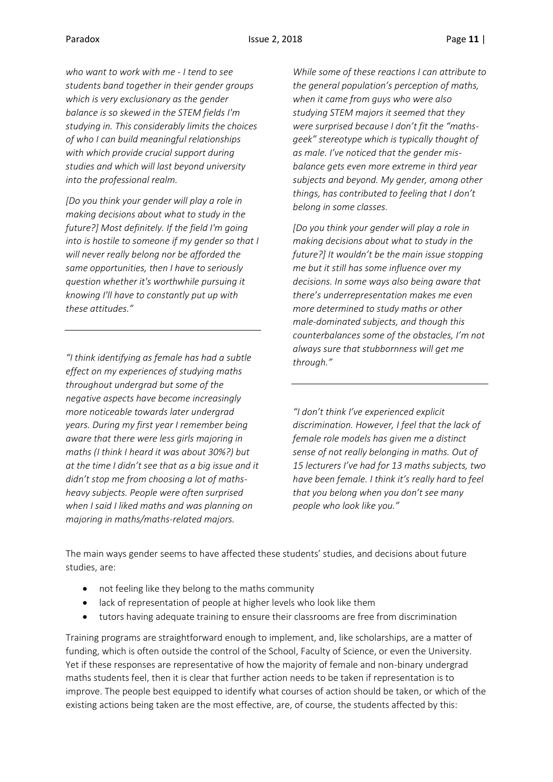*who want to work with me - I tend to see students band together in their gender groups which is very exclusionary as the gender balance is so skewed in the STEM fields I'm studying in. This considerably limits the choices of who I can build meaningful relationships with which provide crucial support during studies and which will last beyond university into the professional realm.*

*[Do you think your gender will play a role in making decisions about what to study in the future?] Most definitely. If the field I'm going into is hostile to someone if my gender so that I will never really belong nor be afforded the same opportunities, then I have to seriously question whether it's worthwhile pursuing it knowing I'll have to constantly put up with these attitudes."*

*"I think identifying as female has had a subtle effect on my experiences of studying maths throughout undergrad but some of the negative aspects have become increasingly more noticeable towards later undergrad years. During my first year I remember being aware that there were less girls majoring in maths (I think I heard it was about 30%?) but at the time I didn't see that as a big issue and it didn't stop me from choosing a lot of mathsheavy subjects. People were often surprised when I said I liked maths and was planning on majoring in maths/maths-related majors.* 

*While some of these reactions I can attribute to the general population's perception of maths, when it came from guys who were also studying STEM majors it seemed that they were surprised because I don't fit the "mathsgeek" stereotype which is typically thought of as male. I've noticed that the gender misbalance gets even more extreme in third year subjects and beyond. My gender, among other things, has contributed to feeling that I don't belong in some classes.*

*[Do you think your gender will play a role in making decisions about what to study in the future?] It wouldn't be the main issue stopping me but it still has some influence over my decisions. In some ways also being aware that there's underrepresentation makes me even more determined to study maths or other male-dominated subjects, and though this counterbalances some of the obstacles, I'm not always sure that stubbornness will get me through."*

*"I don't think I've experienced explicit discrimination. However, I feel that the lack of female role models has given me a distinct sense of not really belonging in maths. Out of 15 lecturers I've had for 13 maths subjects, two have been female. I think it's really hard to feel that you belong when you don't see many people who look like you."*

The main ways gender seems to have affected these students' studies, and decisions about future studies, are:

- not feeling like they belong to the maths community
- lack of representation of people at higher levels who look like them
- tutors having adequate training to ensure their classrooms are free from discrimination

Training programs are straightforward enough to implement, and, like scholarships, are a matter of funding, which is often outside the control of the School, Faculty of Science, or even the University. Yet if these responses are representative of how the majority of female and non-binary undergrad maths students feel, then it is clear that further action needs to be taken if representation is to improve. The people best equipped to identify what courses of action should be taken, or which of the existing actions being taken are the most effective, are, of course, the students affected by this: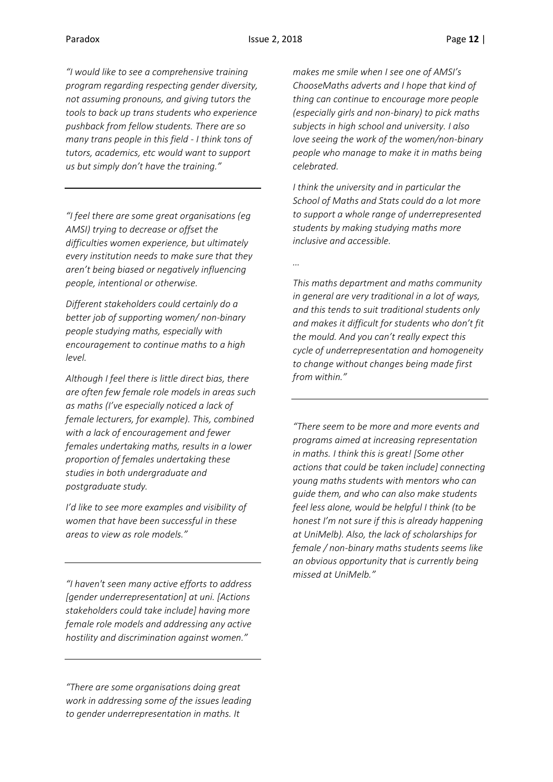*"I would like to see a comprehensive training program regarding respecting gender diversity, not assuming pronouns, and giving tutors the tools to back up trans students who experience pushback from fellow students. There are so many trans people in this field - I think tons of tutors, academics, etc would want to support us but simply don't have the training."*

*"I feel there are some great organisations (eg AMSI) trying to decrease or offset the difficulties women experience, but ultimately every institution needs to make sure that they aren't being biased or negatively influencing people, intentional or otherwise.*

*Different stakeholders could certainly do a better job of supporting women/ non-binary people studying maths, especially with encouragement to continue maths to a high level.*

*Although I feel there is little direct bias, there are often few female role models in areas such as maths (I've especially noticed a lack of female lecturers, for example). This, combined with a lack of encouragement and fewer females undertaking maths, results in a lower proportion of females undertaking these studies in both undergraduate and postgraduate study.*

*I'd like to see more examples and visibility of women that have been successful in these areas to view as role models."*

*"I haven't seen many active efforts to address [gender underrepresentation] at uni. [Actions stakeholders could take include] having more female role models and addressing any active hostility and discrimination against women."*

*"There are some organisations doing great work in addressing some of the issues leading to gender underrepresentation in maths. It* 

*makes me smile when I see one of AMSI's ChooseMaths adverts and I hope that kind of thing can continue to encourage more people (especially girls and non-binary) to pick maths subjects in high school and university. I also love seeing the work of the women/non-binary people who manage to make it in maths being celebrated.*

*I think the university and in particular the School of Maths and Stats could do a lot more to support a whole range of underrepresented students by making studying maths more inclusive and accessible.*

*…* 

*This maths department and maths community in general are very traditional in a lot of ways, and this tends to suit traditional students only and makes it difficult for students who don't fit the mould. And you can't really expect this cycle of underrepresentation and homogeneity to change without changes being made first from within."*

*"There seem to be more and more events and programs aimed at increasing representation in maths. I think this is great! [Some other actions that could be taken include] connecting young maths students with mentors who can guide them, and who can also make students feel less alone, would be helpful I think (to be honest I'm not sure if this is already happening at UniMelb). Also, the lack of scholarships for female / non-binary maths students seems like an obvious opportunity that is currently being missed at UniMelb."*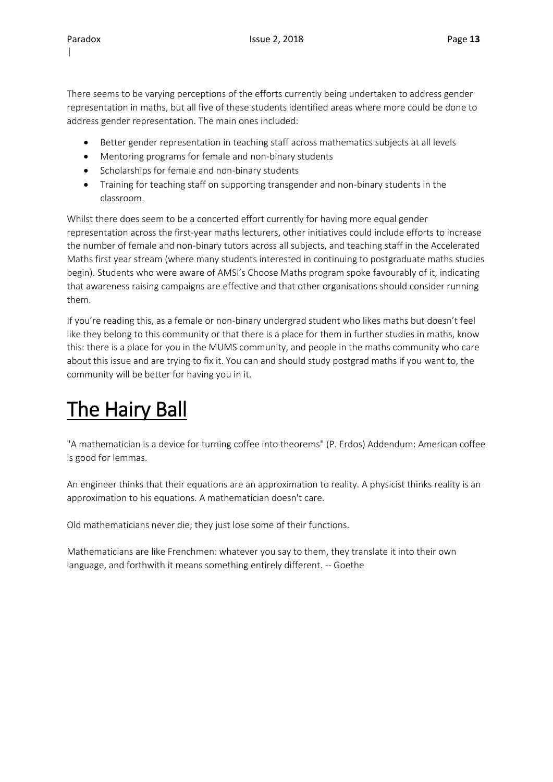There seems to be varying perceptions of the efforts currently being undertaken to address gender representation in maths, but all five of these students identified areas where more could be done to address gender representation. The main ones included:

- Better gender representation in teaching staff across mathematics subjects at all levels
- Mentoring programs for female and non-binary students
- Scholarships for female and non-binary students
- Training for teaching staff on supporting transgender and non-binary students in the classroom.

Whilst there does seem to be a concerted effort currently for having more equal gender representation across the first-year maths lecturers, other initiatives could include efforts to increase the number of female and non-binary tutors across all subjects, and teaching staff in the Accelerated Maths first year stream (where many students interested in continuing to postgraduate maths studies begin). Students who were aware of AMSI's Choose Maths program spoke favourably of it, indicating that awareness raising campaigns are effective and that other organisations should consider running them.

If you're reading this, as a female or non-binary undergrad student who likes maths but doesn't feel like they belong to this community or that there is a place for them in further studies in maths, know this: there is a place for you in the MUMS community, and people in the maths community who care about this issue and are trying to fix it. You can and should study postgrad maths if you want to, the community will be better for having you in it.

## The Hairy Ball

"A mathematician is a device for turning coffee into theorems" (P. Erdos) Addendum: American coffee is good for lemmas.

An engineer thinks that their equations are an approximation to reality. A physicist thinks reality is an approximation to his equations. A mathematician doesn't care.

Old mathematicians never die; they just lose some of their functions.

Mathematicians are like Frenchmen: whatever you say to them, they translate it into their own language, and forthwith it means something entirely different. -- Goethe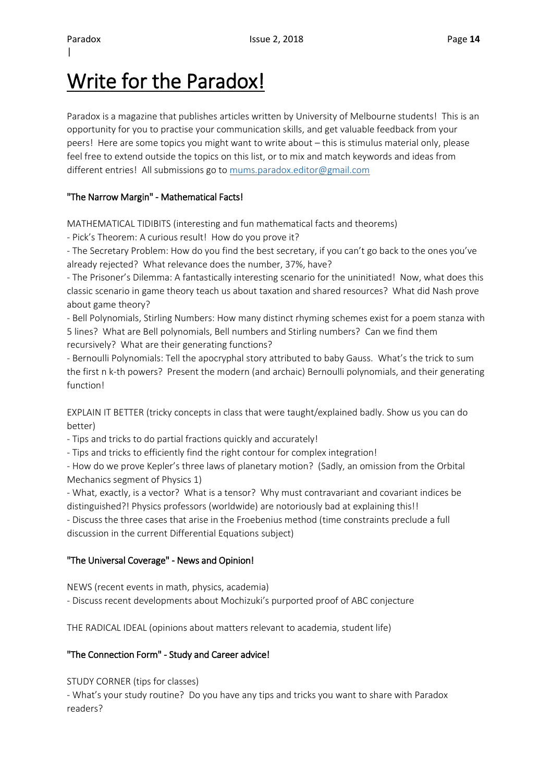### Write for the Paradox!

Paradox is a magazine that publishes articles written by University of Melbourne students! This is an opportunity for you to practise your communication skills, and get valuable feedback from your peers! Here are some topics you might want to write about – this is stimulus material only, please feel free to extend outside the topics on this list, or to mix and match keywords and ideas from different entries! All submissions go to [mums.paradox.editor@gmail.com](mailto:mums.paradox.editor@gmail.com)

### "The Narrow Margin" - Mathematical Facts!

MATHEMATICAL TIDIBITS (interesting and fun mathematical facts and theorems)

- Pick's Theorem: A curious result! How do you prove it?

- The Secretary Problem: How do you find the best secretary, if you can't go back to the ones you've already rejected? What relevance does the number, 37%, have?

- The Prisoner's Dilemma: A fantastically interesting scenario for the uninitiated! Now, what does this classic scenario in game theory teach us about taxation and shared resources? What did Nash prove about game theory?

- Bell Polynomials, Stirling Numbers: How many distinct rhyming schemes exist for a poem stanza with 5 lines? What are Bell polynomials, Bell numbers and Stirling numbers? Can we find them recursively? What are their generating functions?

- Bernoulli Polynomials: Tell the apocryphal story attributed to baby Gauss. What's the trick to sum the first n k-th powers? Present the modern (and archaic) Bernoulli polynomials, and their generating function!

EXPLAIN IT BETTER (tricky concepts in class that were taught/explained badly. Show us you can do better)

- Tips and tricks to do partial fractions quickly and accurately!

- Tips and tricks to efficiently find the right contour for complex integration!

- How do we prove Kepler's three laws of planetary motion? (Sadly, an omission from the Orbital Mechanics segment of Physics 1)

- What, exactly, is a vector? What is a tensor? Why must contravariant and covariant indices be distinguished?! Physics professors (worldwide) are notoriously bad at explaining this!!

- Discuss the three cases that arise in the Froebenius method (time constraints preclude a full discussion in the current Differential Equations subject)

### "The Universal Coverage" - News and Opinion!

NEWS (recent events in math, physics, academia)

- Discuss recent developments about Mochizuki's purported proof of ABC conjecture

THE RADICAL IDEAL (opinions about matters relevant to academia, student life)

### "The Connection Form" - Study and Career advice!

STUDY CORNER (tips for classes)

- What's your study routine? Do you have any tips and tricks you want to share with Paradox readers?